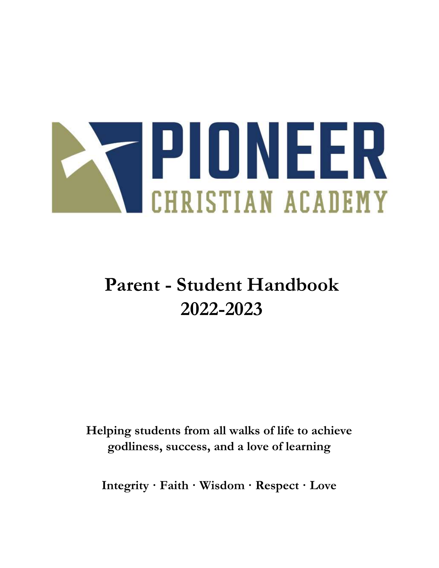

# Parent - Student Handbook 2022-2023

Helping students from all walks of life to achieve godliness, success, and a love of learning

Integrity · Faith · Wisdom · Respect · Love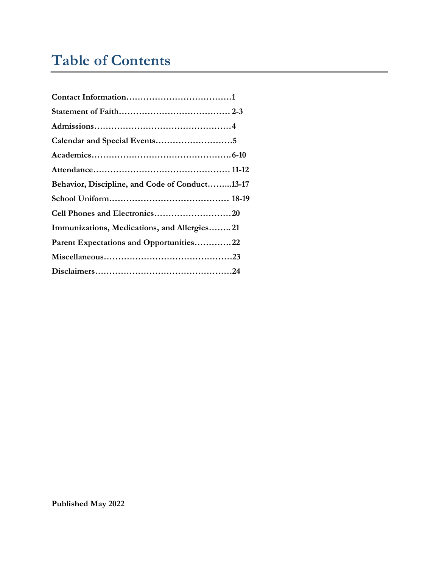# Table of Contents

| Calendar and Special Events5                   |  |
|------------------------------------------------|--|
|                                                |  |
|                                                |  |
| Behavior, Discipline, and Code of Conduct13-17 |  |
|                                                |  |
|                                                |  |
| Immunizations, Medications, and Allergies 21   |  |
| Parent Expectations and Opportunities22        |  |
|                                                |  |
|                                                |  |
|                                                |  |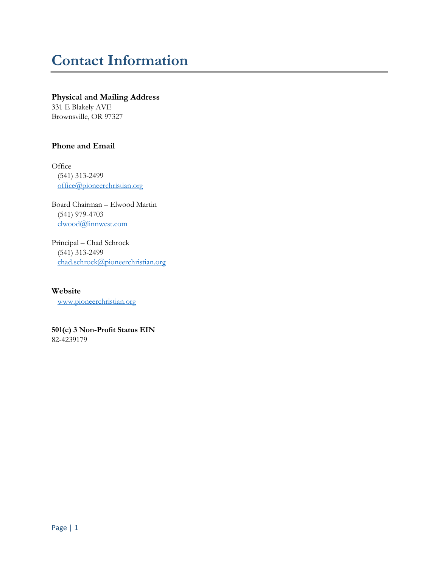# Contact Information

#### Physical and Mailing Address

331 E Blakely AVE Brownsville, OR 97327

### Phone and Email

**Office**  (541) 313-2499 office@pioneerchristian.org

Board Chairman – Elwood Martin (541) 979-4703 elwood@linnwest.com

Principal – Chad Schrock (541) 313-2499 chad.schrock@pioneerchristian.org

Website www.pioneerchristian.org

501(c) 3 Non-Profit Status EIN 82-4239179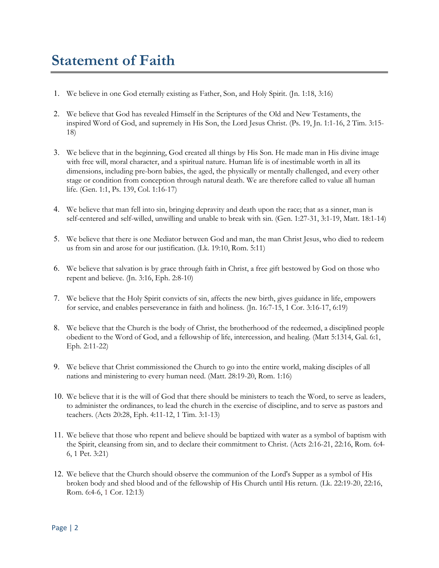# Statement of Faith

- 1. We believe in one God eternally existing as Father, Son, and Holy Spirit. (Jn. 1:18, 3:16)
- 2. We believe that God has revealed Himself in the Scriptures of the Old and New Testaments, the inspired Word of God, and supremely in His Son, the Lord Jesus Christ. (Ps. 19, Jn. 1:1-16, 2 Tim. 3:15- 18)
- 3. We believe that in the beginning, God created all things by His Son. He made man in His divine image with free will, moral character, and a spiritual nature. Human life is of inestimable worth in all its dimensions, including pre-born babies, the aged, the physically or mentally challenged, and every other stage or condition from conception through natural death. We are therefore called to value all human life. (Gen. 1:1, Ps. 139, Col. 1:16-17)
- 4. We believe that man fell into sin, bringing depravity and death upon the race; that as a sinner, man is self-centered and self-willed, unwilling and unable to break with sin. (Gen. 1:27-31, 3:1-19, Matt. 18:1-14)
- 5. We believe that there is one Mediator between God and man, the man Christ Jesus, who died to redeem us from sin and arose for our justification. (Lk. 19:10, Rom. 5:11)
- 6. We believe that salvation is by grace through faith in Christ, a free gift bestowed by God on those who repent and believe. (Jn. 3:16, Eph. 2:8-10)
- 7. We believe that the Holy Spirit convicts of sin, affects the new birth, gives guidance in life, empowers for service, and enables perseverance in faith and holiness. (Jn. 16:7-15, 1 Cor. 3:16-17, 6:19)
- 8. We believe that the Church is the body of Christ, the brotherhood of the redeemed, a disciplined people obedient to the Word of God, and a fellowship of life, intercession, and healing. (Matt 5:1314, Gal. 6:1, Eph. 2:11-22)
- 9. We believe that Christ commissioned the Church to go into the entire world, making disciples of all nations and ministering to every human need. (Matt. 28:19-20, Rom. 1:16)
- 10. We believe that it is the will of God that there should be ministers to teach the Word, to serve as leaders, to administer the ordinances, to lead the church in the exercise of discipline, and to serve as pastors and teachers. (Acts 20:28, Eph. 4:11-12, 1 Tim. 3:1-13)
- 11. We believe that those who repent and believe should be baptized with water as a symbol of baptism with the Spirit, cleansing from sin, and to declare their commitment to Christ. (Acts 2:16-21, 22:16, Rom. 6:4- 6, 1 Pet. 3:21)
- 12. We believe that the Church should observe the communion of the Lord's Supper as a symbol of His broken body and shed blood and of the fellowship of His Church until His return. (Lk. 22:19-20, 22:16, Rom. 6:4-6, 1 Cor. 12:13)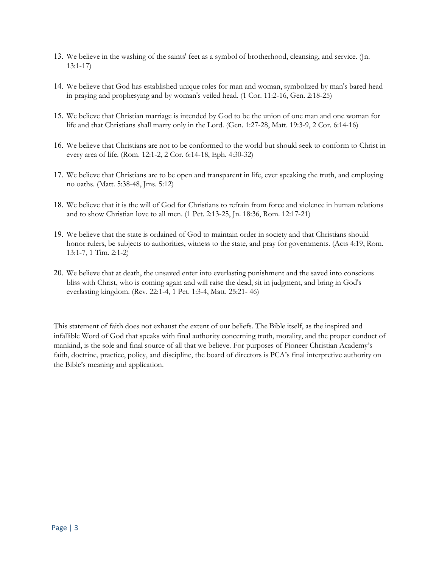- 13. We believe in the washing of the saints' feet as a symbol of brotherhood, cleansing, and service. (Jn. 13:1-17)
- 14. We believe that God has established unique roles for man and woman, symbolized by man's bared head in praying and prophesying and by woman's veiled head. (1 Cor. 11:2-16, Gen. 2:18-25)
- 15. We believe that Christian marriage is intended by God to be the union of one man and one woman for life and that Christians shall marry only in the Lord. (Gen. 1:27-28, Matt. 19:3-9, 2 Cor. 6:14-16)
- 16. We believe that Christians are not to be conformed to the world but should seek to conform to Christ in every area of life. (Rom. 12:1-2, 2 Cor. 6:14-18, Eph. 4:30-32)
- 17. We believe that Christians are to be open and transparent in life, ever speaking the truth, and employing no oaths. (Matt. 5:38-48, Jms. 5:12)
- 18. We believe that it is the will of God for Christians to refrain from force and violence in human relations and to show Christian love to all men. (1 Pet. 2:13-25, Jn. 18:36, Rom. 12:17-21)
- 19. We believe that the state is ordained of God to maintain order in society and that Christians should honor rulers, be subjects to authorities, witness to the state, and pray for governments. (Acts 4:19, Rom. 13:1-7, 1 Tim. 2:1-2)
- 20. We believe that at death, the unsaved enter into everlasting punishment and the saved into conscious bliss with Christ, who is coming again and will raise the dead, sit in judgment, and bring in God's everlasting kingdom. (Rev. 22:1-4, 1 Pet. 1:3-4, Matt. 25:21- 46)

This statement of faith does not exhaust the extent of our beliefs. The Bible itself, as the inspired and infallible Word of God that speaks with final authority concerning truth, morality, and the proper conduct of mankind, is the sole and final source of all that we believe. For purposes of Pioneer Christian Academy's faith, doctrine, practice, policy, and discipline, the board of directors is PCA's final interpretive authority on the Bible's meaning and application.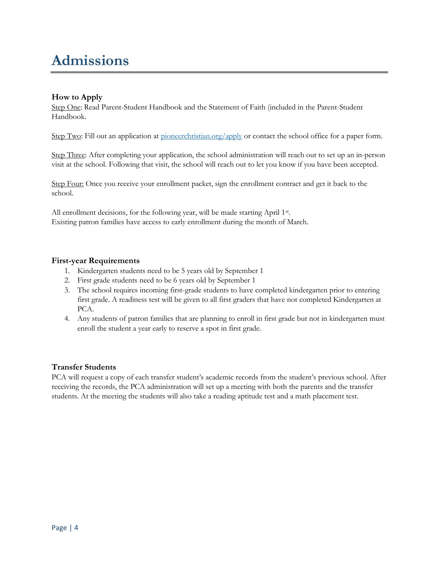# Admissions

# How to Apply

Step One: Read Parent-Student Handbook and the Statement of Faith (included in the Parent-Student Handbook.

Step Two: Fill out an application at <u>pioneerchristian.org/apply</u> or contact the school office for a paper form.

Step Three: After completing your application, the school administration will reach out to set up an in-person visit at the school. Following that visit, the school will reach out to let you know if you have been accepted.

Step Four: Once you receive your enrollment packet, sign the enrollment contract and get it back to the school.

All enrollment decisions, for the following year, will be made starting April 1<sup>st</sup>. Existing patron families have access to early enrollment during the month of March.

### First-year Requirements

- 1. Kindergarten students need to be 5 years old by September 1
- 2. First grade students need to be 6 years old by September 1
- 3. The school requires incoming first-grade students to have completed kindergarten prior to entering first grade. A readiness test will be given to all first graders that have not completed Kindergarten at PCA.
- 4. Any students of patron families that are planning to enroll in first grade but not in kindergarten must enroll the student a year early to reserve a spot in first grade.

# Transfer Students

PCA will request a copy of each transfer student's academic records from the student's previous school. After receiving the records, the PCA administration will set up a meeting with both the parents and the transfer students. At the meeting the students will also take a reading aptitude test and a math placement test.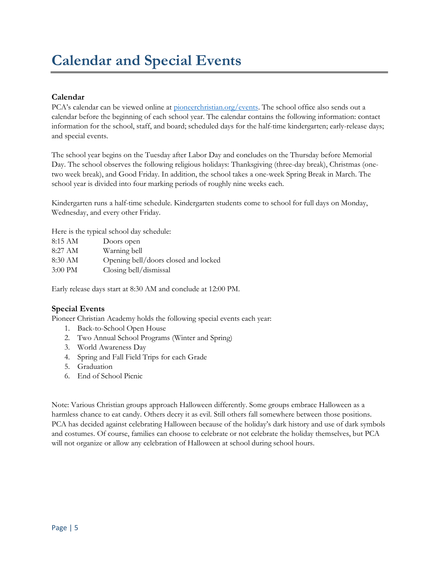# Calendar and Special Events

# Calendar

PCA's calendar can be viewed online at pioneerchristian.org/events. The school office also sends out a calendar before the beginning of each school year. The calendar contains the following information: contact information for the school, staff, and board; scheduled days for the half-time kindergarten; early-release days; and special events.

The school year begins on the Tuesday after Labor Day and concludes on the Thursday before Memorial Day. The school observes the following religious holidays: Thanksgiving (three-day break), Christmas (onetwo week break), and Good Friday. In addition, the school takes a one-week Spring Break in March. The school year is divided into four marking periods of roughly nine weeks each.

Kindergarten runs a half-time schedule. Kindergarten students come to school for full days on Monday, Wednesday, and every other Friday.

Here is the typical school day schedule:

| 8:15 AM           | Doors open                           |
|-------------------|--------------------------------------|
| 8:27 AM           | Warning bell                         |
| 8:30 AM           | Opening bell/doors closed and locked |
| $3:00 \text{ PM}$ | Closing bell/dismissal               |

Early release days start at 8:30 AM and conclude at 12:00 PM.

# Special Events

Pioneer Christian Academy holds the following special events each year:

- 1. Back-to-School Open House
- 2. Two Annual School Programs (Winter and Spring)
- 3. World Awareness Day
- 4. Spring and Fall Field Trips for each Grade
- 5. Graduation
- 6. End of School Picnic

Note: Various Christian groups approach Halloween differently. Some groups embrace Halloween as a harmless chance to eat candy. Others decry it as evil. Still others fall somewhere between those positions. PCA has decided against celebrating Halloween because of the holiday's dark history and use of dark symbols and costumes. Of course, families can choose to celebrate or not celebrate the holiday themselves, but PCA will not organize or allow any celebration of Halloween at school during school hours.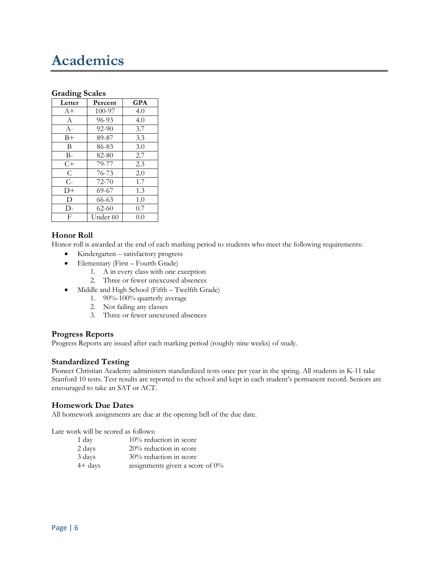# Academics

#### Grading Scales

| Letter | Percent   | GPA |
|--------|-----------|-----|
| $A+$   | 100-97    | 4.0 |
| A      | 96-93     | 4.0 |
| $A-$   | $92 - 90$ | 3.7 |
| $B+$   | 89-87     | 3.3 |
| B      | 86-83     | 3.0 |
| B-     | 82-80     | 2.7 |
| $C+$   | 79-77     | 2.3 |
| C      | 76-73     | 2.0 |
| $C -$  | 72-70     | 1.7 |
| $D+$   | 69-67     | 1.3 |
| D      | 66-63     | 1.0 |
| D-     | $62 - 60$ | 0.7 |
| F      | Under 60  | 0.0 |

### Honor Roll

Honor roll is awarded at the end of each marking period to students who meet the following requirements:

- Kindergarten satisfactory progress
- Elementary (First Fourth Grade)
	- 1. A in every class with one exception
	- 2. Three or fewer unexcused absences
- Middle and High School (Fifth Twelfth Grade)
	- 1. 90%-100% quarterly average
	- 2. Not failing any classes
	- 3. Three or fewer unexcused absences

#### Progress Reports

Progress Reports are issued after each marking period (roughly nine weeks) of study.

#### Standardized Testing

Pioneer Christian Academy administers standardized tests once per year in the spring. All students in K-11 take Stanford 10 tests. Test results are reported to the school and kept in each student's permanent record. Seniors are encouraged to take an SAT or ACT.

#### Homework Due Dates

All homework assignments are due at the opening bell of the due date.

Late work will be scored as follows:

| 1 day     | $10\%$ reduction in score          |
|-----------|------------------------------------|
| 2 days    | $20\%$ reduction in score          |
| 3 days    | 30% reduction in score             |
| $4+$ days | assignments given a score of $0\%$ |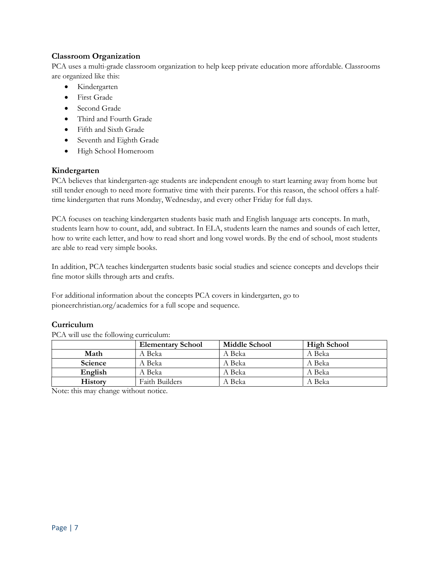# Classroom Organization

PCA uses a multi-grade classroom organization to help keep private education more affordable. Classrooms are organized like this:

- Kindergarten
- First Grade
- Second Grade
- Third and Fourth Grade
- Fifth and Sixth Grade
- Seventh and Eighth Grade
- High School Homeroom

#### Kindergarten

PCA believes that kindergarten-age students are independent enough to start learning away from home but still tender enough to need more formative time with their parents. For this reason, the school offers a halftime kindergarten that runs Monday, Wednesday, and every other Friday for full days.

PCA focuses on teaching kindergarten students basic math and English language arts concepts. In math, students learn how to count, add, and subtract. In ELA, students learn the names and sounds of each letter, how to write each letter, and how to read short and long vowel words. By the end of school, most students are able to read very simple books.

In addition, PCA teaches kindergarten students basic social studies and science concepts and develops their fine motor skills through arts and crafts.

For additional information about the concepts PCA covers in kindergarten, go to pioneerchristian.org/academics for a full scope and sequence.

#### Curriculum

PCA will use the following curriculum:

|                | <b>Elementary School</b> | Middle School | High School |
|----------------|--------------------------|---------------|-------------|
| Math           | A Beka                   | A Beka        | A Beka      |
| Science        | A Beka                   | A Beka        | A Beka      |
| English        | A Beka                   | A Beka        | A Beka      |
| <b>History</b> | <b>Faith Builders</b>    | A Beka        | A Beka      |

Note: this may change without notice.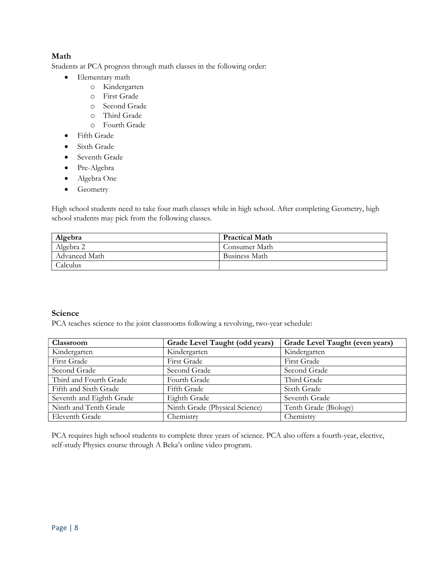### Math

Students at PCA progress through math classes in the following order:

- Elementary math
	- o Kindergarten
	- o First Grade
	- o Second Grade
	- o Third Grade
	- o Fourth Grade
- Fifth Grade
- Sixth Grade
- Seventh Grade
- Pre-Algebra
- Algebra One
- Geometry

High school students need to take four math classes while in high school. After completing Geometry, high school students may pick from the following classes.

| Algebra       | <b>Practical Math</b> |
|---------------|-----------------------|
| Algebra 2     | ' Consumer Math       |
| Advanced Math | Business Math         |
| Calculus      |                       |

# Science

PCA teaches science to the joint classrooms following a revolving, two-year schedule:

| Classroom                | Grade Level Taught (odd years) | Grade Level Taught (even years) |
|--------------------------|--------------------------------|---------------------------------|
| Kindergarten             | Kindergarten                   | Kindergarten                    |
| <b>First Grade</b>       | First Grade                    | <b>First Grade</b>              |
| Second Grade             | Second Grade                   | Second Grade                    |
| Third and Fourth Grade   | Fourth Grade                   | Third Grade                     |
| Fifth and Sixth Grade    | Fifth Grade                    | Sixth Grade                     |
| Seventh and Eighth Grade | Eighth Grade                   | Seventh Grade                   |
| Ninth and Tenth Grade    | Ninth Grade (Physical Science) | Tenth Grade (Biology)           |
| Eleventh Grade           | Chemistry                      | Chemistry                       |

PCA requires high school students to complete three years of science. PCA also offers a fourth-year, elective, self-study Physics course through A Beka's online video program.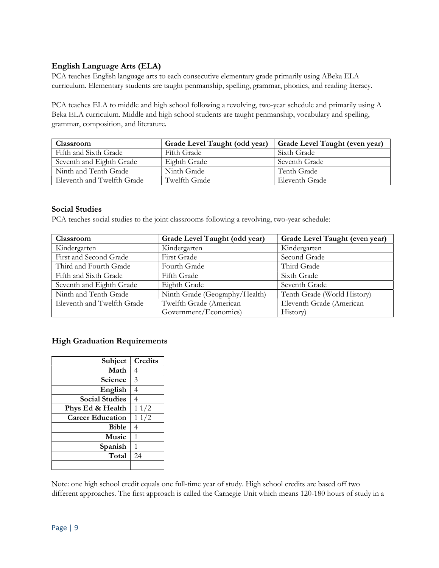# English Language Arts (ELA)

PCA teaches English language arts to each consecutive elementary grade primarily using ABeka ELA curriculum. Elementary students are taught penmanship, spelling, grammar, phonics, and reading literacy.

PCA teaches ELA to middle and high school following a revolving, two-year schedule and primarily using A Beka ELA curriculum. Middle and high school students are taught penmanship, vocabulary and spelling, grammar, composition, and literature.

| <b>Classroom</b>           | Grade Level Taught (odd year) | Grade Level Taught (even year) |
|----------------------------|-------------------------------|--------------------------------|
| Fifth and Sixth Grade      | Fifth Grade                   | Sixth Grade                    |
| Seventh and Eighth Grade   | Eighth Grade                  | Seventh Grade                  |
| Ninth and Tenth Grade      | Ninth Grade                   | Tenth Grade                    |
| Eleventh and Twelfth Grade | Twelfth Grade                 | Eleventh Grade                 |

### Social Studies

PCA teaches social studies to the joint classrooms following a revolving, two-year schedule:

| Classroom                  | Grade Level Taught (odd year)  | Grade Level Taught (even year) |
|----------------------------|--------------------------------|--------------------------------|
| Kindergarten               | Kindergarten                   | Kindergarten                   |
| First and Second Grade     | <b>First Grade</b>             | Second Grade                   |
| Third and Fourth Grade     | Fourth Grade                   | Third Grade                    |
| Fifth and Sixth Grade      | Fifth Grade                    | Sixth Grade                    |
| Seventh and Eighth Grade   | Eighth Grade                   | Seventh Grade                  |
| Ninth and Tenth Grade      | Ninth Grade (Geography/Health) | Tenth Grade (World History)    |
| Eleventh and Twelfth Grade | Twelfth Grade (American        | Eleventh Grade (American       |
|                            | Government/Economics)          | History)                       |

#### High Graduation Requirements

| Subject                 | Credits |
|-------------------------|---------|
| Math                    | 4       |
| Science                 | 3       |
| English                 |         |
| <b>Social Studies</b>   |         |
| Phys Ed & Health        | 11/2    |
| <b>Career Education</b> | 11/2    |
| <b>Bible</b>            |         |
| Music                   | 1       |
| Spanish                 | 1       |
| Total                   | 24      |
|                         |         |

Note: one high school credit equals one full-time year of study. High school credits are based off two different approaches. The first approach is called the Carnegie Unit which means 120-180 hours of study in a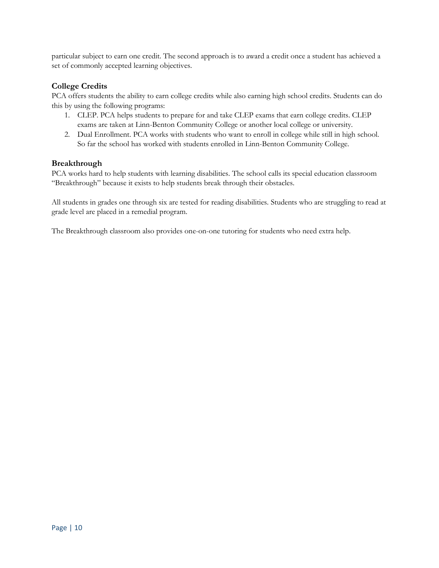particular subject to earn one credit. The second approach is to award a credit once a student has achieved a set of commonly accepted learning objectives.

### College Credits

PCA offers students the ability to earn college credits while also earning high school credits. Students can do this by using the following programs:

- 1. CLEP. PCA helps students to prepare for and take CLEP exams that earn college credits. CLEP exams are taken at Linn-Benton Community College or another local college or university.
- 2. Dual Enrollment. PCA works with students who want to enroll in college while still in high school. So far the school has worked with students enrolled in Linn-Benton Community College.

### Breakthrough

PCA works hard to help students with learning disabilities. The school calls its special education classroom "Breakthrough" because it exists to help students break through their obstacles.

All students in grades one through six are tested for reading disabilities. Students who are struggling to read at grade level are placed in a remedial program.

The Breakthrough classroom also provides one-on-one tutoring for students who need extra help.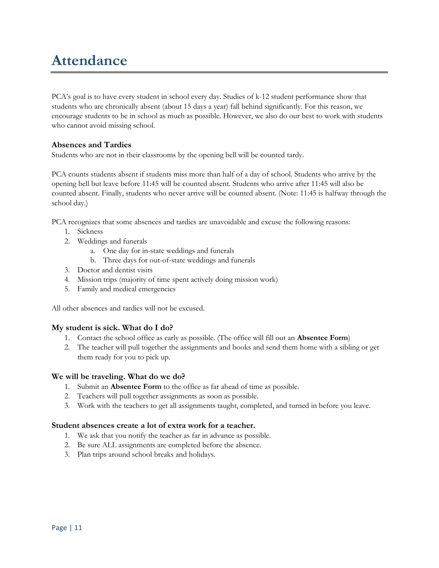# Attendance

PCA's goal is to have every student in school every day. Studies of k-12 student performance show that students who are chronically absent (about 15 days a year) fall behind significantly. For this reason, we encourage students to be in school as much as possible. However, we also do our best to work with students who cannot avoid missing school.

### Absences and Tardies

Students who are not in their classrooms by the opening bell will be counted tardy.

PCA counts students absent if students miss more than half of a day of school. Students who arrive by the opening bell but leave before 11:45 will be counted absent. Students who arrive after 11:45 will also be counted absent. Finally, students who never arrive will be counted absent. (Note: 11:45 is halfway through the school day.)

PCA recognizes that some absences and tardies are unavoidable and excuse the following reasons:

- 1. Sickness
- 2. Weddings and funerals
	- a. One day for in-state weddings and funerals
	- b. Three days for out-of-state weddings and funerals
- 3. Doctor and dentist visits
- 4. Mission trips (majority of time spent actively doing mission work)
- 5. Family and medical emergencies

All other absences and tardies will not be excused.

# My student is sick. What do I do?

- 1. Contact the school office as early as possible. (The office will fill out an Absentee Form)
- 2. The teacher will pull together the assignments and books and send them home with a sibling or get them ready for you to pick up.

#### We will be traveling. What do we do?

- 1. Submit an Absentee Form to the office as far ahead of time as possible.
- 2. Teachers will pull together assignments as soon as possible.
- 3. Work with the teachers to get all assignments taught, completed, and turned in before you leave.

#### Student absences create a lot of extra work for a teacher.

- 1. We ask that you notify the teacher as far in advance as possible.
- 2. Be sure ALL assignments are completed before the absence.
- 3. Plan trips around school breaks and holidays.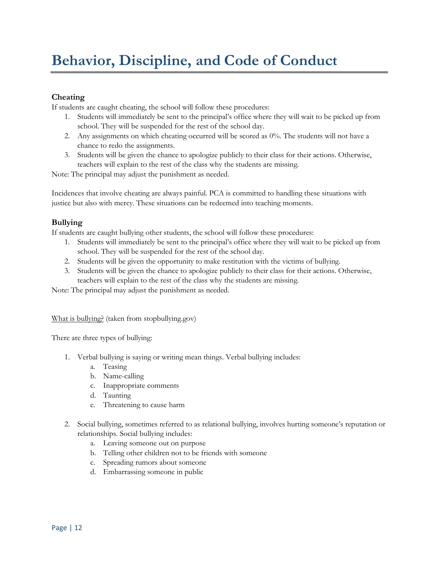# Behavior, Discipline, and Code of Conduct

# Cheating

If students are caught cheating, the school will follow these procedures:

- 1. Students will immediately be sent to the principal's office where they will wait to be picked up from school. They will be suspended for the rest of the school day.
- 2. Any assignments on which cheating occurred will be scored as 0%. The students will not have a chance to redo the assignments.
- 3. Students will be given the chance to apologize publicly to their class for their actions. Otherwise, teachers will explain to the rest of the class why the students are missing.

Note: The principal may adjust the punishment as needed.

Incidences that involve cheating are always painful. PCA is committed to handling these situations with justice but also with mercy. These situations can be redeemed into teaching moments.

# Bullying

If students are caught bullying other students, the school will follow these procedures:

- 1. Students will immediately be sent to the principal's office where they will wait to be picked up from school. They will be suspended for the rest of the school day.
- 2. Students will be given the opportunity to make restitution with the victims of bullying.
- 3. Students will be given the chance to apologize publicly to their class for their actions. Otherwise, teachers will explain to the rest of the class why the students are missing.

Note: The principal may adjust the punishment as needed.

#### What is bullying? (taken from stopbullying.gov)

There are three types of bullying:

- 1. Verbal bullying is saying or writing mean things. Verbal bullying includes:
	- a. Teasing
	- b. Name-calling
	- c. Inappropriate comments
	- d. Taunting
	- e. Threatening to cause harm
- 2. Social bullying, sometimes referred to as relational bullying, involves hurting someone's reputation or relationships. Social bullying includes:
	- a. Leaving someone out on purpose
	- b. Telling other children not to be friends with someone
	- c. Spreading rumors about someone
	- d. Embarrassing someone in public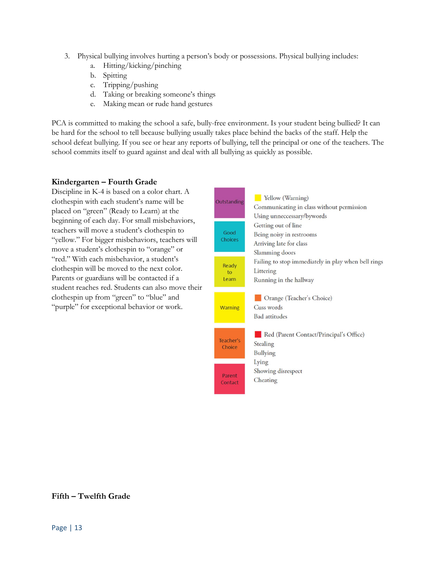- 3. Physical bullying involves hurting a person's body or possessions. Physical bullying includes:
	- a. Hitting/kicking/pinching
	- b. Spitting
	- c. Tripping/pushing
	- d. Taking or breaking someone's things
	- e. Making mean or rude hand gestures

PCA is committed to making the school a safe, bully-free environment. Is your student being bullied? It can be hard for the school to tell because bullying usually takes place behind the backs of the staff. Help the school defeat bullying. If you see or hear any reports of bullying, tell the principal or one of the teachers. The school commits itself to guard against and deal with all bullying as quickly as possible.

### Kindergarten – Fourth Grade

Discipline in K-4 is based on a color chart. A clothespin with each student's name will be placed on "green" (Ready to Learn) at the beginning of each day. For small misbehaviors, teachers will move a student's clothespin to "yellow." For bigger misbehaviors, teachers will move a student's clothespin to "orange" or "red." With each misbehavior, a student's clothespin will be moved to the next color. Parents or guardians will be contacted if a student reaches red. Students can also move their clothespin up from "green" to "blue" and "purple" for exceptional behavior or work.

| Outstanding            | Yellow (Warning)<br>Communicating in class without permission<br>Using unneccessary/bywords  |
|------------------------|----------------------------------------------------------------------------------------------|
| Good<br><b>Choices</b> | Getting out of line<br>Being noisy in restrooms<br>Arriving late for class<br>Slamming doors |
| Ready<br>to<br>Learn   | Failing to stop immediately in play when bell rings<br>Littering<br>Running in the hallway   |
| <b>Warning</b>         | Orange (Teacher's Choice)<br>Cuss words<br><b>Bad</b> attitudes                              |
| Teacher's<br>Choice    | Red (Parent Contact/Principal's Office)<br>Stealing<br><b>Bullying</b>                       |
| Parent<br>Contact      | Lying<br>Showing disrespect<br>Cheating                                                      |

#### Fifth – Twelfth Grade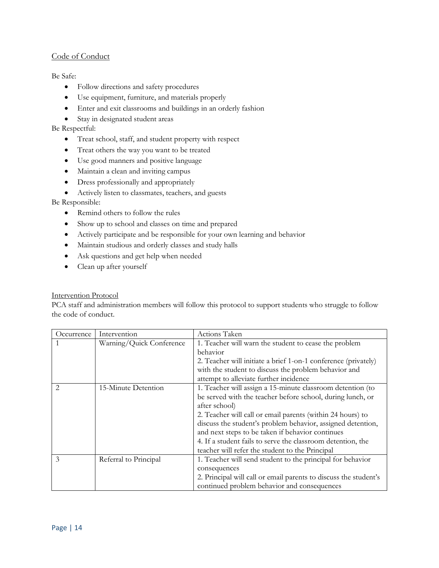### Code of Conduct

#### Be Safe:

- Follow directions and safety procedures
- Use equipment, furniture, and materials properly
- Enter and exit classrooms and buildings in an orderly fashion
- Stay in designated student areas

#### Be Respectful:

- Treat school, staff, and student property with respect
- Treat others the way you want to be treated
- Use good manners and positive language
- Maintain a clean and inviting campus
- Dress professionally and appropriately
- Actively listen to classmates, teachers, and guests

#### Be Responsible:

- Remind others to follow the rules
- Show up to school and classes on time and prepared
- Actively participate and be responsible for your own learning and behavior
- Maintain studious and orderly classes and study halls
- Ask questions and get help when needed
- Clean up after yourself

#### Intervention Protocol

PCA staff and administration members will follow this protocol to support students who struggle to follow the code of conduct.

| Occurrence | Intervention             | Actions Taken                                                    |
|------------|--------------------------|------------------------------------------------------------------|
|            | Warning/Quick Conference | 1. Teacher will warn the student to cease the problem            |
|            |                          | behavior                                                         |
|            |                          | 2. Teacher will initiate a brief 1-on-1 conference (privately)   |
|            |                          | with the student to discuss the problem behavior and             |
|            |                          | attempt to alleviate further incidence                           |
|            | 15-Minute Detention      | 1. Teacher will assign a 15-minute classroom detention (to       |
|            |                          | be served with the teacher before school, during lunch, or       |
|            |                          | after school)                                                    |
|            |                          | 2. Teacher will call or email parents (within 24 hours) to       |
|            |                          | discuss the student's problem behavior, assigned detention,      |
|            |                          | and next steps to be taken if behavior continues                 |
|            |                          | 4. If a student fails to serve the classroom detention, the      |
|            |                          | teacher will refer the student to the Principal                  |
| 3          | Referral to Principal    | 1. Teacher will send student to the principal for behavior       |
|            |                          | consequences                                                     |
|            |                          | 2. Principal will call or email parents to discuss the student's |
|            |                          | continued problem behavior and consequences                      |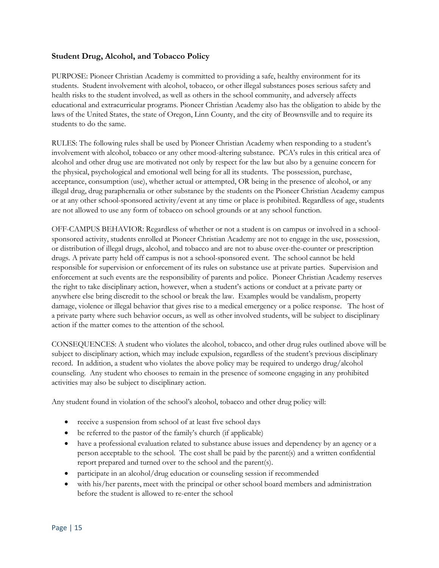### Student Drug, Alcohol, and Tobacco Policy

PURPOSE: Pioneer Christian Academy is committed to providing a safe, healthy environment for its students. Student involvement with alcohol, tobacco, or other illegal substances poses serious safety and health risks to the student involved, as well as others in the school community, and adversely affects educational and extracurricular programs. Pioneer Christian Academy also has the obligation to abide by the laws of the United States, the state of Oregon, Linn County, and the city of Brownsville and to require its students to do the same.

RULES: The following rules shall be used by Pioneer Christian Academy when responding to a student's involvement with alcohol, tobacco or any other mood-altering substance. PCA's rules in this critical area of alcohol and other drug use are motivated not only by respect for the law but also by a genuine concern for the physical, psychological and emotional well being for all its students. The possession, purchase, acceptance, consumption (use), whether actual or attempted, OR being in the presence of alcohol, or any illegal drug, drug paraphernalia or other substance by the students on the Pioneer Christian Academy campus or at any other school-sponsored activity/event at any time or place is prohibited. Regardless of age, students are not allowed to use any form of tobacco on school grounds or at any school function.

OFF-CAMPUS BEHAVIOR: Regardless of whether or not a student is on campus or involved in a schoolsponsored activity, students enrolled at Pioneer Christian Academy are not to engage in the use, possession, or distribution of illegal drugs, alcohol, and tobacco and are not to abuse over-the-counter or prescription drugs. A private party held off campus is not a school-sponsored event. The school cannot be held responsible for supervision or enforcement of its rules on substance use at private parties. Supervision and enforcement at such events are the responsibility of parents and police. Pioneer Christian Academy reserves the right to take disciplinary action, however, when a student's actions or conduct at a private party or anywhere else bring discredit to the school or break the law. Examples would be vandalism, property damage, violence or illegal behavior that gives rise to a medical emergency or a police response. The host of a private party where such behavior occurs, as well as other involved students, will be subject to disciplinary action if the matter comes to the attention of the school.

CONSEQUENCES: A student who violates the alcohol, tobacco, and other drug rules outlined above will be subject to disciplinary action, which may include expulsion, regardless of the student's previous disciplinary record. In addition, a student who violates the above policy may be required to undergo drug/alcohol counseling. Any student who chooses to remain in the presence of someone engaging in any prohibited activities may also be subject to disciplinary action.

Any student found in violation of the school's alcohol, tobacco and other drug policy will:

- receive a suspension from school of at least five school days
- be referred to the pastor of the family's church (if applicable)
- have a professional evaluation related to substance abuse issues and dependency by an agency or a person acceptable to the school. The cost shall be paid by the parent(s) and a written confidential report prepared and turned over to the school and the parent(s).
- participate in an alcohol/drug education or counseling session if recommended
- with his/her parents, meet with the principal or other school board members and administration before the student is allowed to re-enter the school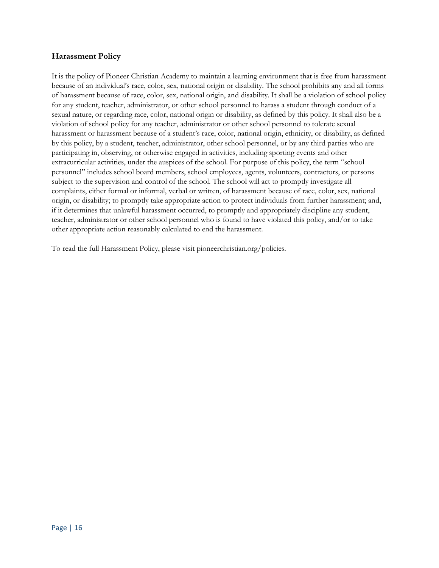#### Harassment Policy

It is the policy of Pioneer Christian Academy to maintain a learning environment that is free from harassment because of an individual's race, color, sex, national origin or disability. The school prohibits any and all forms of harassment because of race, color, sex, national origin, and disability. It shall be a violation of school policy for any student, teacher, administrator, or other school personnel to harass a student through conduct of a sexual nature, or regarding race, color, national origin or disability, as defined by this policy. It shall also be a violation of school policy for any teacher, administrator or other school personnel to tolerate sexual harassment or harassment because of a student's race, color, national origin, ethnicity, or disability, as defined by this policy, by a student, teacher, administrator, other school personnel, or by any third parties who are participating in, observing, or otherwise engaged in activities, including sporting events and other extracurricular activities, under the auspices of the school. For purpose of this policy, the term "school personnel" includes school board members, school employees, agents, volunteers, contractors, or persons subject to the supervision and control of the school. The school will act to promptly investigate all complaints, either formal or informal, verbal or written, of harassment because of race, color, sex, national origin, or disability; to promptly take appropriate action to protect individuals from further harassment; and, if it determines that unlawful harassment occurred, to promptly and appropriately discipline any student, teacher, administrator or other school personnel who is found to have violated this policy, and/or to take other appropriate action reasonably calculated to end the harassment.

To read the full Harassment Policy, please visit pioneerchristian.org/policies.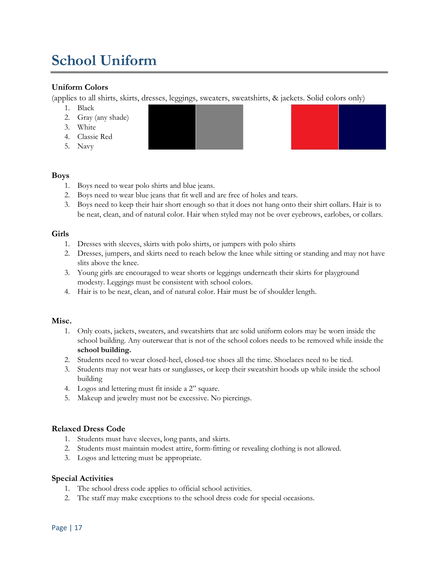# School Uniform

# Uniform Colors

(applies to all shirts, skirts, dresses, leggings, sweaters, sweatshirts, & jackets. Solid colors only)

- 1. Black
- 2. Gray (any shade)
- 3. White
- 4. Classic Red
- 5. Navy

# Boys

- 1. Boys need to wear polo shirts and blue jeans.
- 2. Boys need to wear blue jeans that fit well and are free of holes and tears.
- 3. Boys need to keep their hair short enough so that it does not hang onto their shirt collars. Hair is to be neat, clean, and of natural color. Hair when styled may not be over eyebrows, earlobes, or collars.

# Girls

- 1. Dresses with sleeves, skirts with polo shirts, or jumpers with polo shirts
- 2. Dresses, jumpers, and skirts need to reach below the knee while sitting or standing and may not have slits above the knee.
- 3. Young girls are encouraged to wear shorts or leggings underneath their skirts for playground modesty. Leggings must be consistent with school colors.
- 4. Hair is to be neat, clean, and of natural color. Hair must be of shoulder length.

#### Misc.

- 1. Only coats, jackets, sweaters, and sweatshirts that are solid uniform colors may be worn inside the school building. Any outerwear that is not of the school colors needs to be removed while inside the school building.
- 2. Students need to wear closed-heel, closed-toe shoes all the time. Shoelaces need to be tied.
- 3. Students may not wear hats or sunglasses, or keep their sweatshirt hoods up while inside the school building
- 4. Logos and lettering must fit inside a 2" square.
- 5. Makeup and jewelry must not be excessive. No piercings.

# Relaxed Dress Code

- 1. Students must have sleeves, long pants, and skirts.
- 2. Students must maintain modest attire, form-fitting or revealing clothing is not allowed.
- 3. Logos and lettering must be appropriate.

#### Special Activities

- 1. The school dress code applies to official school activities.
- 2. The staff may make exceptions to the school dress code for special occasions.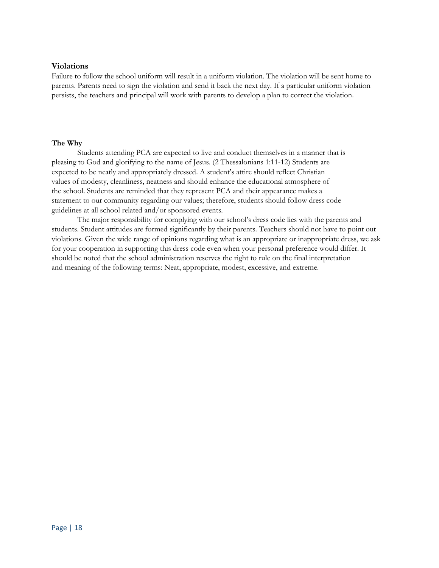#### Violations

Failure to follow the school uniform will result in a uniform violation. The violation will be sent home to parents. Parents need to sign the violation and send it back the next day. If a particular uniform violation persists, the teachers and principal will work with parents to develop a plan to correct the violation.

#### The Why

Students attending PCA are expected to live and conduct themselves in a manner that is pleasing to God and glorifying to the name of Jesus. (2 Thessalonians 1:11-12) Students are expected to be neatly and appropriately dressed. A student's attire should reflect Christian values of modesty, cleanliness, neatness and should enhance the educational atmosphere of the school. Students are reminded that they represent PCA and their appearance makes a statement to our community regarding our values; therefore, students should follow dress code guidelines at all school related and/or sponsored events.

The major responsibility for complying with our school's dress code lies with the parents and students. Student attitudes are formed significantly by their parents. Teachers should not have to point out violations. Given the wide range of opinions regarding what is an appropriate or inappropriate dress, we ask for your cooperation in supporting this dress code even when your personal preference would differ. It should be noted that the school administration reserves the right to rule on the final interpretation and meaning of the following terms: Neat, appropriate, modest, excessive, and extreme.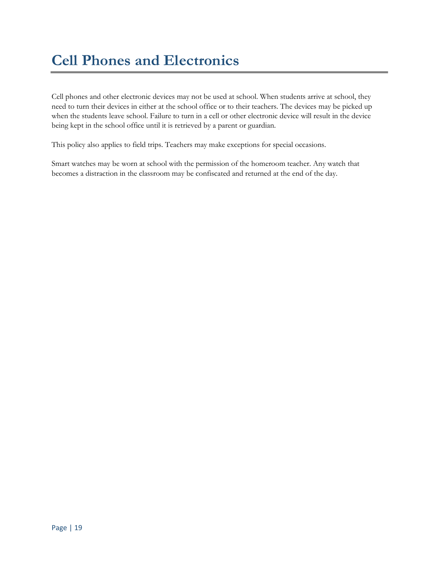Cell phones and other electronic devices may not be used at school. When students arrive at school, they need to turn their devices in either at the school office or to their teachers. The devices may be picked up when the students leave school. Failure to turn in a cell or other electronic device will result in the device being kept in the school office until it is retrieved by a parent or guardian.

This policy also applies to field trips. Teachers may make exceptions for special occasions.

Smart watches may be worn at school with the permission of the homeroom teacher. Any watch that becomes a distraction in the classroom may be confiscated and returned at the end of the day.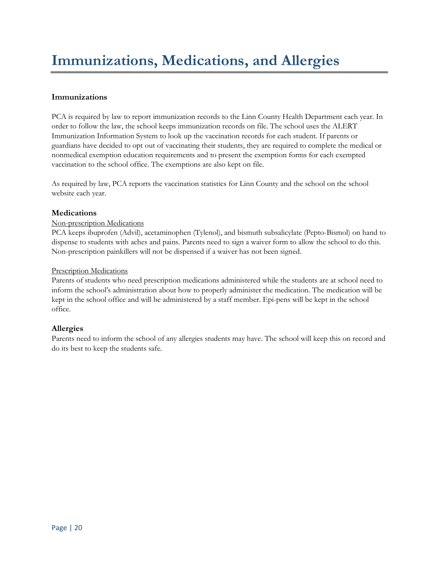# Immunizations

PCA is required by law to report immunization records to the Linn County Health Department each year. In order to follow the law, the school keeps immunization records on file. The school uses the ALERT Immunization Information System to look up the vaccination records for each student. If parents or guardians have decided to opt out of vaccinating their students, they are required to complete the medical or nonmedical exemption education requirements and to present the exemption forms for each exempted vaccination to the school office. The exemptions are also kept on file.

As required by law, PCA reports the vaccination statistics for Linn County and the school on the school website each year.

# Medications

### Non-prescription Medications

PCA keeps ibuprofen (Advil), acetaminophen (Tylenol), and bismuth subsalicylate (Pepto-Bismol) on hand to dispense to students with aches and pains. Parents need to sign a waiver form to allow the school to do this. Non-prescription painkillers will not be dispensed if a waiver has not been signed.

#### Prescription Medications

Parents of students who need prescription medications administered while the students are at school need to inform the school's administration about how to properly administer the medication. The medication will be kept in the school office and will be administered by a staff member. Epi-pens will be kept in the school office.

#### Allergies

Parents need to inform the school of any allergies students may have. The school will keep this on record and do its best to keep the students safe.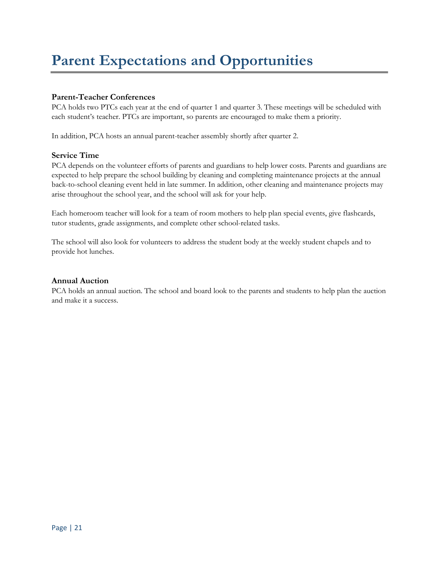# Parent Expectations and Opportunities

# Parent-Teacher Conferences

PCA holds two PTCs each year at the end of quarter 1 and quarter 3. These meetings will be scheduled with each student's teacher. PTCs are important, so parents are encouraged to make them a priority.

In addition, PCA hosts an annual parent-teacher assembly shortly after quarter 2.

### Service Time

PCA depends on the volunteer efforts of parents and guardians to help lower costs. Parents and guardians are expected to help prepare the school building by cleaning and completing maintenance projects at the annual back-to-school cleaning event held in late summer. In addition, other cleaning and maintenance projects may arise throughout the school year, and the school will ask for your help.

Each homeroom teacher will look for a team of room mothers to help plan special events, give flashcards, tutor students, grade assignments, and complete other school-related tasks.

The school will also look for volunteers to address the student body at the weekly student chapels and to provide hot lunches.

### Annual Auction

PCA holds an annual auction. The school and board look to the parents and students to help plan the auction and make it a success.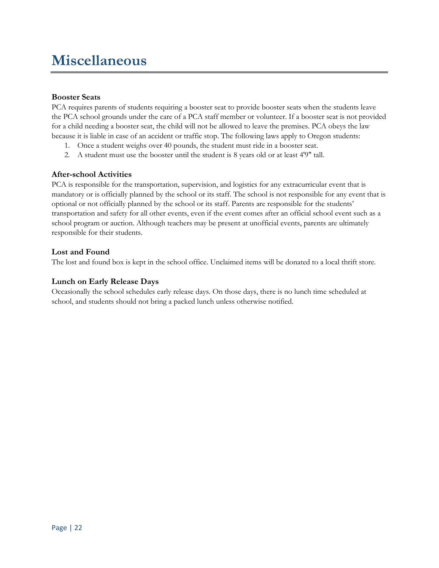# Miscellaneous

### Booster Seats

PCA requires parents of students requiring a booster seat to provide booster seats when the students leave the PCA school grounds under the care of a PCA staff member or volunteer. If a booster seat is not provided for a child needing a booster seat, the child will not be allowed to leave the premises. PCA obeys the law because it is liable in case of an accident or traffic stop. The following laws apply to Oregon students:

- 1. Once a student weighs over 40 pounds, the student must ride in a booster seat.
- 2. A student must use the booster until the student is 8 years old or at least 4'9" tall.

#### After-school Activities

PCA is responsible for the transportation, supervision, and logistics for any extracurricular event that is mandatory or is officially planned by the school or its staff. The school is not responsible for any event that is optional or not officially planned by the school or its staff. Parents are responsible for the students' transportation and safety for all other events, even if the event comes after an official school event such as a school program or auction. Although teachers may be present at unofficial events, parents are ultimately responsible for their students.

#### Lost and Found

The lost and found box is kept in the school office. Unclaimed items will be donated to a local thrift store.

#### Lunch on Early Release Days

Occasionally the school schedules early release days. On those days, there is no lunch time scheduled at school, and students should not bring a packed lunch unless otherwise notified.